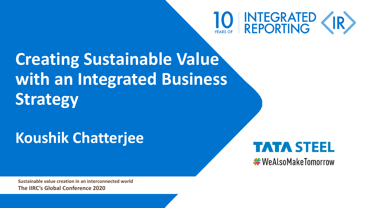

**Creating Sustainable Value with an Integrated Business Strategy**

# **Koushik Chatterjee**



**Sustainable value creation in an interconnected world The IIRC's Global Conference 2020**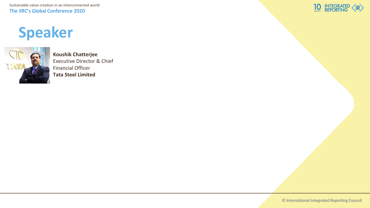Sustainable value creation in an interconnected world The IIRC's Global Conference 2020

# **Speaker**



**Koushik Chatterjee** Executive Director & Chief Financial Officer **Tata Steel Limited** 



**© International Integrated Reporting Council**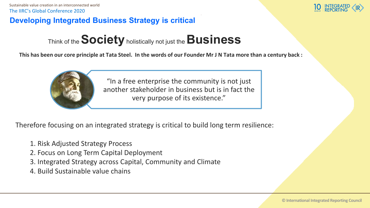#### **Developing Integrated Business Strategy is critical**

Think of the **Society**holistically not just the **Business**

**This has been our core principle at Tata Steel. In the words of our Founder Mr J N Tata more than a century back :**



"In a free enterprise the community is not just another stakeholder in business but is in fact the very purpose of its existence."

Therefore focusing on an integrated strategy is critical to build long term resilience:

- 1. Risk Adjusted Strategy Process
- 2. Focus on Long Term Capital Deployment
- 3. Integrated Strategy across Capital, Community and Climate
- 4. Build Sustainable value chains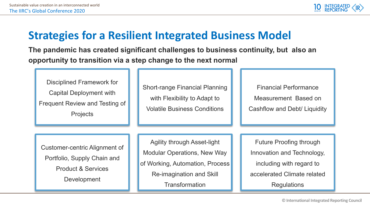

#### **Strategies for a Resilient Integrated Business Model**

**The pandemic has created significant challenges to business continuity, but also an opportunity to transition via a step change to the next normal**

Disciplined Framework for Capital Deployment with Frequent Review and Testing of **Projects** 

Short-range Financial Planning with Flexibility to Adapt to Volatile Business Conditions

Financial Performance Measurement Based on Cashflow and Debt/ Liquidity

Customer-centric Alignment of Portfolio, Supply Chain and Product & Services **Development** 

Agility through Asset-light Modular Operations, New Way of Working, Automation, Process Re-imagination and Skill **Transformation** 

Future Proofing through Innovation and Technology, including with regard to accelerated Climate related **Regulations**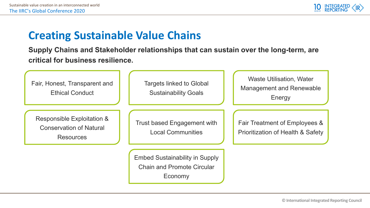

#### **Creating Sustainable Value Chains**

**Supply Chains and Stakeholder relationships that can sustain over the long-term, are critical for business resilience.**

| Fair, Honest, Transparent and<br><b>Ethical Conduct</b>                          | <b>Targets linked to Global</b><br><b>Sustainability Goals</b>                        | <b>Waste Utilisation, Water</b><br><b>Management and Renewable</b><br>Energy |
|----------------------------------------------------------------------------------|---------------------------------------------------------------------------------------|------------------------------------------------------------------------------|
| Responsible Exploitation &<br><b>Conservation of Natural</b><br><b>Resources</b> | Trust based Engagement with<br><b>Local Communities</b>                               | Fair Treatment of Employees &<br>Prioritization of Health & Safety           |
|                                                                                  | <b>Embed Sustainability in Supply</b><br><b>Chain and Promote Circular</b><br>Economy |                                                                              |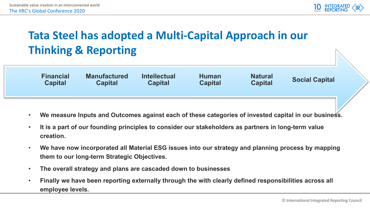

### **Tata Steel has adopted a Multi-Capital Approach in our Thinking & Reporting**

| <b>Financial</b><br><b>Manufactured</b><br><b>Intellectual</b><br><b>Natural</b><br><b>Human</b><br><b>Social Capital</b><br><b>Capital</b><br><b>Capital</b><br><b>Capital</b><br><b>Capital</b><br><b>Capital</b> |  |
|---------------------------------------------------------------------------------------------------------------------------------------------------------------------------------------------------------------------|--|
|---------------------------------------------------------------------------------------------------------------------------------------------------------------------------------------------------------------------|--|

- **We measure Inputs and Outcomes against each of these categories of invested capital in our business.**
- **It is a part of our founding principles to consider our stakeholders as partners in long-term value creation.**
- **We have now incorporated all Material ESG issues into our strategy and planning process by mapping them to our long-term Strategic Objectives.**
- **The overall strategy and plans are cascaded down to businesses**
- **Finally we have been reporting externally through the with clearly defined responsibilities across all employee levels.**